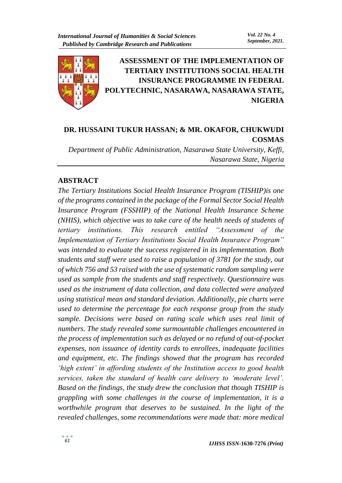

**ASSESSMENT OF THE IMPLEMENTATION OF TERTIARY INSTITUTIONS SOCIAL HEALTH INSURANCE PROGRAMME IN FEDERAL POLYTECHNIC, NASARAWA, NASARAWA STATE, NIGERIA**

# **DR. HUSSAINI TUKUR HASSAN; & MR. OKAFOR, CHUKWUDI COSMAS**

*Department of Public Administration, Nasarawa State University, Keffi, Nasarawa State, Nigeria*

#### **ABSTRACT**

*The Tertiary Institutions Social Health Insurance Program (TISHIP)is one of the programs contained in the package of the Formal Sector Social Health Insurance Program (FSSHIP) of the National Health Insurance Scheme (NHIS), which objective was to take care of the health needs of students of tertiary institutions. This research entitled "Assessment of the Implementation of Tertiary Institutions Social Health Insurance Program" was intended to evaluate the success registered in its implementation. Both students and staff were used to raise a population of 3781 for the study, out of which 756 and 53 raised with the use of systematic random sampling were used as sample from the students and staff respectively. Questionnaire was used as the instrument of data collection, and data collected were analyzed using statistical mean and standard deviation. Additionally, pie charts were used to determine the percentage for each response group from the study sample. Decisions were based on rating scale which uses real limit of numbers. The study revealed some surmountable challenges encountered in the process of implementation such as delayed or no refund of out-of-pocket expenses, non issuance of identity cards to enrollees, inadequate facilities and equipment, etc. The findings showed that the program has recorded 'high extent' in affording students of the Institution access to good health services, taken the standard of health care delivery to 'moderate level'. Based on the findings, the study drew the conclusion that though TISHIP is grappling with some challenges in the course of implementation, it is a worthwhile program that deserves to be sustained. In the light of the revealed challenges, some recommendations were made that: more medical*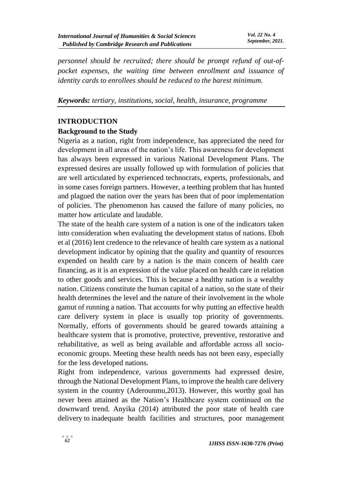*personnel should be recruited; there should be prompt refund of out-ofpocket expenses, the waiting time between enrollment and issuance of identity cards to enrollees should be reduced to the barest minimum.* 

*Keywords: tertiary, institutions, social, health, insurance, programme* 

#### **INTRODUCTION**

### **Background to the Study**

Nigeria as a nation, right from independence, has appreciated the need for development in all areas of the nation's life. This awareness for development has always been expressed in various National Development Plans. The expressed desires are usually followed up with formulation of policies that are well articulated by experienced technocrats, experts, professionals, and in some cases foreign partners. However, a teething problem that has hunted and plagued the nation over the years has been that of poor implementation of policies. The phenomenon has caused the failure of many policies, no matter how articulate and laudable.

The state of the health care system of a nation is one of the indicators taken into consideration when evaluating the development status of nations. Eboh et al (2016) lent credence to the relevance of health care system as a national development indicator by opining that the quality and quantity of resources expended on health care by a nation is the main concern of health care financing, as it is an expression of the value placed on health care in relation to other goods and services. This is because a healthy nation is a wealthy nation. Citizens constitute the human capital of a nation, so the state of their health determines the level and the nature of their involvement in the whole gamut of running a nation. That accounts for why putting an effective health care delivery system in place is usually top priority of governments. Normally, efforts of governments should be geared towards attaining a healthcare system that is promotive, protective, preventive, restorative and rehabilitative, as well as being available and affordable across all socioeconomic groups. Meeting these health needs has not been easy, especially for the less developed nations.

Right from independence, various governments had expressed desire, through the National Development Plans, to improve the health care delivery system in the country (Aderounmu,2013). However, this worthy goal has never been attained as the Nation's Healthcare system continued on the downward trend. Anyika (2014) attributed the poor state of health care delivery to inadequate health facilities and structures, poor management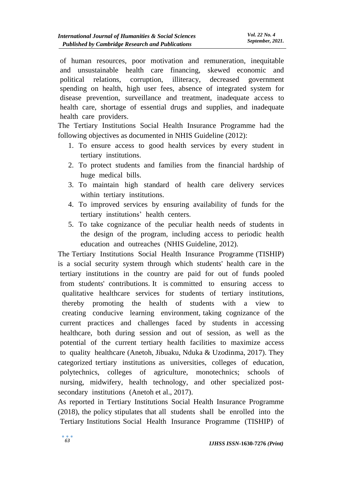of human resources, poor motivation and remuneration, inequitable and unsustainable health care financing, skewed economic and political relations, corruption, illiteracy, decreased government spending on health, high user fees, absence of integrated system for disease prevention, surveillance and treatment, inadequate access to health care, shortage of essential drugs and supplies, and inadequate health care providers.

The Tertiary Institutions Social Health Insurance Programme had the following objectives as documented in NHIS Guideline (2012):

- 1. To ensure access to good health services by every student in tertiary institutions.
- 2. To protect students and families from the financial hardship of huge medical bills.
- 3. To maintain high standard of health care delivery services within tertiary institutions.
- 4. To improved services by ensuring availability of funds for the tertiary institutions' health centers.
- 5. To take cognizance of the peculiar health needs of students in the design of the program, including access to periodic health education and outreaches (NHIS Guideline, 2012).

The Tertiary Institutions Social Health Insurance Programme (TISHIP) is a social security system through which students' health care in the tertiary institutions in the country are paid for out of funds pooled from students' contributions. It is committed to ensuring access to qualitative healthcare services for students of tertiary institutions, thereby promoting the health of students with a view to creating conducive learning environment, taking cognizance of the current practices and challenges faced by students in accessing healthcare, both during session and out of session, as well as the potential of the current tertiary health facilities to maximize access to quality healthcare (Anetoh, Jibuaku, Nduka  $&$  Uzodinma, 2017). They categorized tertiary institutions as universities, colleges of education, polytechnics, colleges of agriculture, monotechnics; schools of nursing, midwifery, health technology, and other specialized postsecondary institutions (Anetoh et al., 2017).

As reported in Tertiary Institutions Social Health Insurance Programme  $(2018)$ , the policy stipulates that all students shall be enrolled into the Tertiary Institutions Social Health Insurance Programme (TISHIP) of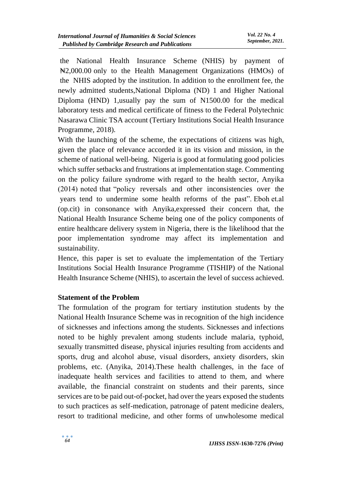the National Health Insurance Scheme (NHIS) by payment of Net 2,000.00 only to the Health Management Organizations (HMOs) of the NHIS adopted by the institution. In addition to the enrollment fee, the newly admitted students,National Diploma (ND) 1 and Higher National Diploma (HND) 1,usually pay the sum of N1500.00 for the medical laboratory tests and medical certificate of fitness to the Federal Polytechnic Nasarawa Clinic TSA account (Tertiary Institutions Social Health Insurance Programme, 2018).

With the launching of the scheme, the expectations of citizens was high, given the place of relevance accorded it in its vision and mission, in the scheme of national well-being. Nigeria is good at formulating good policies which suffer setbacks and frustrations at implementation stage. Commenting on the policy failure syndrome with regard to the health sector, Anyika  $(2014)$  noted that "policy reversals and other inconsistencies over the years tend to undermine some health reforms of the past". Eboh et.al (op.cit) in consonance with Anyika,expressed their concern that, the National Health Insurance Scheme being one of the policy components of entire healthcare delivery system in Nigeria, there is the likelihood that the poor implementation syndrome may affect its implementation and sustainability.

Hence, this paper is set to evaluate the implementation of the Tertiary Institutions Social Health Insurance Programme (TISHIP) of the National Health Insurance Scheme (NHIS), to ascertain the level of success achieved.

#### **Statement of the Problem**

The formulation of the program for tertiary institution students by the National Health Insurance Scheme was in recognition of the high incidence of sicknesses and infections among the students. Sicknesses and infections noted to be highly prevalent among students include malaria, typhoid, sexually transmitted disease, physical injuries resulting from accidents and sports, drug and alcohol abuse, visual disorders, anxiety disorders, skin problems, etc. (Anyika, 2014).These health challenges, in the face of inadequate health services and facilities to attend to them, and where available, the financial constraint on students and their parents, since services are to be paid out-of-pocket, had over the years exposed the students to such practices as self-medication, patronage of patent medicine dealers, resort to traditional medicine, and other forms of unwholesome medical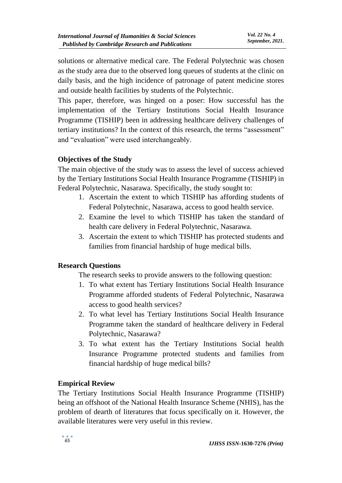solutions or alternative medical care. The Federal Polytechnic was chosen as the study area due to the observed long queues of students at the clinic on daily basis, and the high incidence of patronage of patent medicine stores and outside health facilities by students of the Polytechnic.

This paper, therefore, was hinged on a poser: How successful has the implementation of the Tertiary Institutions Social Health Insurance Programme (TISHIP) been in addressing healthcare delivery challenges of tertiary institutions? In the context of this research, the terms "assessment" and "evaluation" were used interchangeably.

### **Objectives of the Study**

The main objective of the study was to assess the level of success achieved by the Tertiary Institutions Social Health Insurance Programme (TISHIP) in Federal Polytechnic, Nasarawa. Specifically, the study sought to:

- 1. Ascertain the extent to which TISHIP has affording students of Federal Polytechnic, Nasarawa, access to good health service.
- 2. Examine the level to which TISHIP has taken the standard of health care delivery in Federal Polytechnic, Nasarawa.
- 3. Ascertain the extent to which TISHIP has protected students and families from financial hardship of huge medical bills.

#### **Research Questions**

The research seeks to provide answers to the following question:

- 1. To what extent has Tertiary Institutions Social Health Insurance Programme afforded students of Federal Polytechnic, Nasarawa access to good health services?
- 2. To what level has Tertiary Institutions Social Health Insurance Programme taken the standard of healthcare delivery in Federal Polytechnic, Nasarawa?
- 3. To what extent has the Tertiary Institutions Social health Insurance Programme protected students and families from financial hardship of huge medical bills?

### **Empirical Review**

The Tertiary Institutions Social Health Insurance Programme (TISHIP) being an offshoot of the National Health Insurance Scheme (NHIS), has the problem of dearth of literatures that focus specifically on it. However, the available literatures were very useful in this review.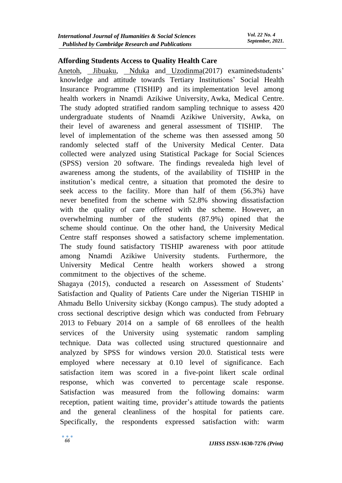#### **Affording Students Access to Quality Health Care**

[Anetoh,](https://www.ncbi.nlm.nih.gov/pubmed/?term=Anetoh%20MU%5BAuthor%5D&cauthor=true&cauthor_uid=29541317) [Jibuaku,](https://www.ncbi.nlm.nih.gov/pubmed/?term=Jibuaku%20CH%5BAuthor%5D&cauthor=true&cauthor_uid=29541317) [Nduka](https://www.ncbi.nlm.nih.gov/pubmed/?term=Nduka%20SO%5BAuthor%5D&cauthor=true&cauthor_uid=29541317) and [Uzodinma\(](https://www.ncbi.nlm.nih.gov/pubmed/?term=Uzodinma%20SU%5BAuthor%5D&cauthor=true&cauthor_uid=29541317)2017) examinedstudents' knowledge and attitude towards Tertiary Institutions' Social Health Insurance Programme (TISHIP) and its implementation level among health workers in Nnamdi Azikiwe University, Awka, Medical Centre. The study adopted stratified random sampling technique to assess 420 undergraduate students of Nnamdi Azikiwe University, Awka, on their level of awareness and general assessment of TISHIP. The level of implementation of the scheme was then assessed among  $50$ randomly selected staff of the University Medical Center. Data collected were analyzed using Statistical Package for Social Sciences  $(SPSS)$  version 20 software. The findings revealeda high level of awareness among the students, of the availability of TISHIP in the institution's medical centre, a situation that promoted the desire to seek access to the facility. More than half of them  $(56.3%)$  have never benefited from the scheme with 52.8% showing dissatisfaction with the quality of care offered with the scheme. However, an overwhelming number of the students (87.9%) opined that the scheme should continue. On the other hand, the University Medical Centre staff responses showed a satisfactory scheme implementation. The study found satisfactory TISHIP awareness with poor attitude among Nnamdi Azikiwe University students. Furthermore, the University Medical Centre health workers showed a strong commitment to the objectives of the scheme.

Shagaya (2015), conducted a research on Assessment of Students' Satisfaction and Quality of Patients Care under the Nigerian TISHIP in Ahmadu Bello University sickbay (Kongo campus). The study adopted a cross sectional descriptive design which was conducted from February  $2013$  to Febuary  $2014$  on a sample of 68 enrollees of the health services of the University using systematic random sampling technique. Data was collected using structured questionnaire and analyzed by SPSS for windows version 20.0. Statistical tests were employed where necessary at 0.10 level of significance. Each satisfaction item was scored in a five-point likert scale ordinal response, which was converted to percentage scale response. Satisfaction was measured from the following domains: warm reception, patient waiting time, provider's attitude towards the patients and the general cleanliness of the hospital for patients care. Specifically, the respondents expressed satisfaction with: warm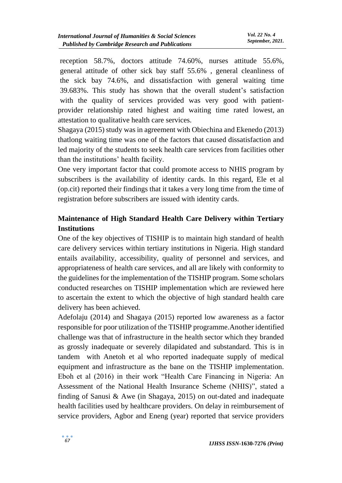reception 58.7%, doctors attitude 74.60%, nurses attitude 55.6%, general attitude of other sick bay staff 55.6%, general cleanliness of the sick bay  $74.6\%$ , and dissatisfaction with general waiting time 39.683%. This study has shown that the overall student's satisfaction with the quality of services provided was very good with patientprovider relationship rated highest and waiting time rated lowest, an attestation to qualitative health care services.

Shagaya (2015) study was in agreement with Obiechina and Ekenedo (2013) thatlong waiting time was one of the factors that caused dissatisfaction and led majority of the students to seek health care services from facilities other than the institutions' health facility.

One very important factor that could promote access to NHIS program by subscribers is the availability of identity cards. In this regard, Ele et al (op.cit) reported their findings that it takes a very long time from the time of registration before subscribers are issued with identity cards.

# **Maintenance of High Standard Health Care Delivery within Tertiary Institutions**

One of the key objectives of TISHIP is to maintain high standard of health care delivery services within tertiary institutions in Nigeria. High standard entails availability, accessibility, quality of personnel and services, and appropriateness of health care services, and all are likely with conformity to the guidelines for the implementation of the TISHIP program. Some scholars conducted researches on TISHIP implementation which are reviewed here to ascertain the extent to which the objective of high standard health care delivery has been achieved.

Adefolaju (2014) and Shagaya (2015) reported low awareness as a factor responsible for poor utilization of the TISHIP programme.Another identified challenge was that of infrastructure in the health sector which they branded as grossly inadequate or severely dilapidated and substandard. This is in tandem with Anetoh et al who reported inadequate supply of medical equipment and infrastructure as the bane on the TISHIP implementation. Eboh et al (2016) in their work "Health Care Financing in Nigeria: An Assessment of the National Health Insurance Scheme (NHIS)", stated a finding of Sanusi & Awe (in Shagaya, 2015) on out-dated and inadequate health facilities used by healthcare providers. On delay in reimbursement of service providers, Agbor and Eneng (year) reported that service providers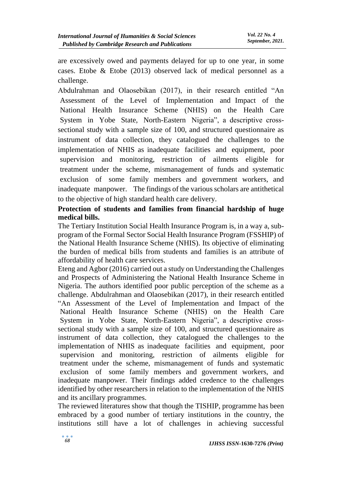are excessively owed and payments delayed for up to one year, in some cases. Etobe & Etobe (2013) observed lack of medical personnel as a challenge.

Abdulrahman and Olaosebikan (2017), in their research entitled "An Assessment of the Level of Implementation and Impact of the National Health Insurance Scheme (NHIS) on the Health Care System in Yobe State, North-Eastern Nigeria", a descriptive crosssectional study with a sample size of 100, and structured questionnaire as instrument of data collection, they catalogued the challenges to the implementation of NHIS as inadequate facilities and equipment, poor supervision and monitoring, restriction of ailments eligible for treatment under the scheme, mismanagement of funds and systematic exclusion of some family members and government workers, and inadequate manpower. The findings of the various scholars are antithetical to the objective of high standard health care delivery.

### **Protection of students and families from financial hardship of huge medical bills.**

The Tertiary Institution Social Health Insurance Program is, in a way a, subprogram of the Formal Sector Social Health Insurance Program (FSSHIP) of the National Health Insurance Scheme (NHIS). Its objective of eliminating the burden of medical bills from students and families is an attribute of affordability of health care services.

Eteng and Agbor (2016) carried out a study on Understanding the Challenges and Prospects of Administering the National Health Insurance Scheme in Nigeria. The authors identified poor public perception of the scheme as a challenge. Abdulrahman and Olaosebikan (2017), in their research entitled "An Assessment of the Level of Implementation and Impact of the National Health Insurance Scheme (NHIS) on the Health Care System in Yobe State, North-Eastern Nigeria", a descriptive crosssectional study with a sample size of 100, and structured questionnaire as instrument of data collection, they catalogued the challenges to the implementation of NHIS as inadequate facilities and equipment, poor supervision and monitoring, restriction of ailments eligible for treatment under the scheme, mismanagement of funds and systematic exclusion of some family members and government workers, and inadequate manpower. Their findings added credence to the challenges identified by other researchers in relation to the implementation of the NHIS and its ancillary programmes.

The reviewed literatures show that though the TISHIP, programme has been embraced by a good number of tertiary institutions in the country, the institutions still have a lot of challenges in achieving successful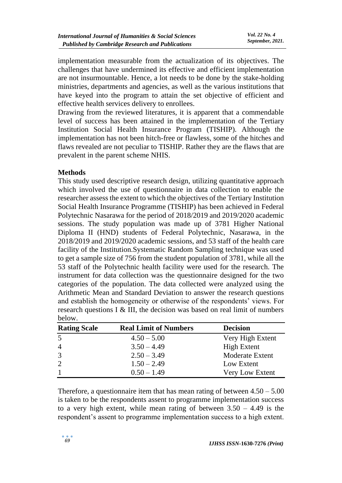implementation measurable from the actualization of its objectives. The challenges that have undermined its effective and efficient implementation are not insurmountable. Hence, a lot needs to be done by the stake-holding ministries, departments and agencies, as well as the various institutions that have keyed into the program to attain the set objective of efficient and effective health services delivery to enrollees.

Drawing from the reviewed literatures, it is apparent that a commendable level of success has been attained in the implementation of the Tertiary Institution Social Health Insurance Program (TISHIP). Although the implementation has not been hitch-free or flawless, some of the hitches and flaws revealed are not peculiar to TISHIP. Rather they are the flaws that are prevalent in the parent scheme NHIS.

#### **Methods**

This study used descriptive research design, utilizing quantitative approach which involved the use of questionnaire in data collection to enable the researcher assess the extent to which the objectives of the Tertiary Institution Social Health Insurance Programme (TISHIP) has been achieved in Federal Polytechnic Nasarawa for the period of 2018/2019 and 2019/2020 academic sessions. The study population was made up of 3781 Higher National Diploma II (HND) students of Federal Polytechnic, Nasarawa, in the 2018/2019 and 2019/2020 academic sessions, and 53 staff of the health care facility of the Institution.Systematic Random Sampling technique was used to get a sample size of 756 from the student population of 3781, while all the 53 staff of the Polytechnic health facility were used for the research. The instrument for data collection was the questionnaire designed for the two categories of the population. The data collected were analyzed using the Arithmetic Mean and Standard Deviation to answer the research questions and establish the homogeneity or otherwise of the respondents' views. For research questions I & III, the decision was based on real limit of numbers below.

| <b>Rating Scale</b> | <b>Real Limit of Numbers</b> | <b>Decision</b>        |
|---------------------|------------------------------|------------------------|
| 5                   | $4.50 - 5.00$                | Very High Extent       |
| $\overline{4}$      | $3.50 - 4.49$                | <b>High Extent</b>     |
| 3                   | $2.50 - 3.49$                | <b>Moderate Extent</b> |
| 2                   | $1.50 - 2.49$                | Low Extent             |
|                     | $0.50 - 1.49$                | Very Low Extent        |

Therefore, a questionnaire item that has mean rating of between  $4.50 - 5.00$ is taken to be the respondents assent to programme implementation success to a very high extent, while mean rating of between  $3.50 - 4.49$  is the respondent's assent to programme implementation success to a high extent.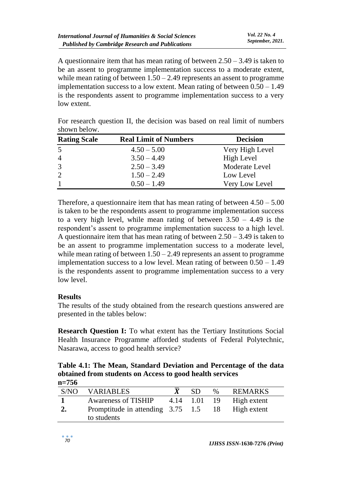A questionnaire item that has mean rating of between  $2.50 - 3.49$  is taken to be an assent to programme implementation success to a moderate extent, while mean rating of between  $1.50 - 2.49$  represents an assent to programme implementation success to a low extent. Mean rating of between  $0.50 - 1.49$ is the respondents assent to programme implementation success to a very low extent.

| <b>Rating Scale</b> | <b>Real Limit of Numbers</b> | <b>Decision</b> |
|---------------------|------------------------------|-----------------|
| 5                   | $4.50 - 5.00$                | Very High Level |
| $\overline{4}$      | $3.50 - 4.49$                | High Level      |
| 3                   | $2.50 - 3.49$                | Moderate Level  |
| 2                   | $1.50 - 2.49$                | Low Level       |
| $\mathbf{1}$        | $0.50 - 1.49$                | Very Low Level  |

For research question II, the decision was based on real limit of numbers shown below.

Therefore, a questionnaire item that has mean rating of between  $4.50 - 5.00$ is taken to be the respondents assent to programme implementation success to a very high level, while mean rating of between  $3.50 - 4.49$  is the respondent's assent to programme implementation success to a high level. A questionnaire item that has mean rating of between  $2.50 - 3.49$  is taken to be an assent to programme implementation success to a moderate level, while mean rating of between  $1.50 - 2.49$  represents an assent to programme implementation success to a low level. Mean rating of between 0.50 – 1.49 is the respondents assent to programme implementation success to a very low level.

#### **Results**

The results of the study obtained from the research questions answered are presented in the tables below:

**Research Question I:** To what extent has the Tertiary Institutions Social Health Insurance Programme afforded students of Federal Polytechnic, Nasarawa, access to good health service?

**Table 4.1: The Mean, Standard Deviation and Percentage of the data obtained from students on Access to good health services n=756**

| S/NO | <b>VARIABLES</b>                                    | SD.          | $\%$ | <b>REMARKS</b> |
|------|-----------------------------------------------------|--------------|------|----------------|
|      | <b>Awareness of TISHIP</b>                          | 4.14 1.01 19 |      | High extent    |
|      | Promptitude in attending 3.75 1.5 18<br>to students |              |      | High extent    |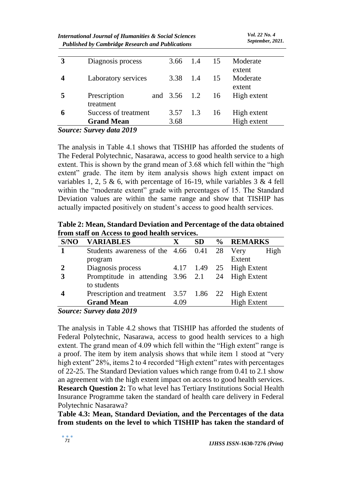| 3 | Diagnosis process    | 3.66            | 1.4 | 15 | Moderate                     |
|---|----------------------|-----------------|-----|----|------------------------------|
|   | Laboratory services  | 3.38            | 1.4 | 15 | extent<br>Moderate<br>extent |
|   | Prescription         | and 3.56 1.2 16 |     |    | High extent                  |
|   | treatment            |                 |     |    |                              |
| 6 | Success of treatment | $3.57$ 1.3      |     | 16 | High extent                  |
|   | <b>Grand Mean</b>    | 3.68            |     |    | High extent                  |
|   |                      |                 |     |    |                              |

*Source: Survey data 2019*

The analysis in Table 4.1 shows that TISHIP has afforded the students of The Federal Polytechnic, Nasarawa, access to good health service to a high extent. This is shown by the grand mean of 3.68 which fell within the "high extent" grade. The item by item analysis shows high extent impact on variables 1, 2, 5 & 6, with percentage of 16-19, while variables  $3 \& 4$  fell within the "moderate extent" grade with percentages of 15. The Standard Deviation values are within the same range and show that TISHIP has actually impacted positively on student's access to good health services.

**Table 2: Mean, Standard Deviation and Percentage of the data obtained from staff on Access to good health services.** 

| S/NO | <b>VARIABLES</b>                                    | $\mathbf X$ | <b>SD</b> | % REMARKS                |
|------|-----------------------------------------------------|-------------|-----------|--------------------------|
|      | Students awareness of the 4.66 0.41 28 Very         |             |           | High                     |
|      | program                                             |             |           | Extent                   |
|      | Diagnosis process                                   |             |           | 4.17 1.49 25 High Extent |
| 3    | Promptitude in attending 3.96 2.1 24 High Extent    |             |           |                          |
|      | to students                                         |             |           |                          |
|      | Prescription and treatment 3.57 1.86 22 High Extent |             |           |                          |
|      | <b>Grand Mean</b>                                   | 4.09        |           | <b>High Extent</b>       |

*Source: Survey data 2019*

The analysis in Table 4.2 shows that TISHIP has afforded the students of Federal Polytechnic, Nasarawa, access to good health services to a high extent. The grand mean of 4.09 which fell within the "High extent" range is a proof. The item by item analysis shows that while item 1 stood at "very high extent" 28%, items 2 to 4 recorded "High extent" rates with percentages of 22-25. The Standard Deviation values which range from 0.41 to 2.1 show an agreement with the high extent impact on access to good health services. **Research Question 2:** To what level has Tertiary Institutions Social Health Insurance Programme taken the standard of health care delivery in Federal Polytechnic Nasarawa?

**Table 4.3: Mean, Standard Deviation, and the Percentages of the data from students on the level to which TISHIP has taken the standard of**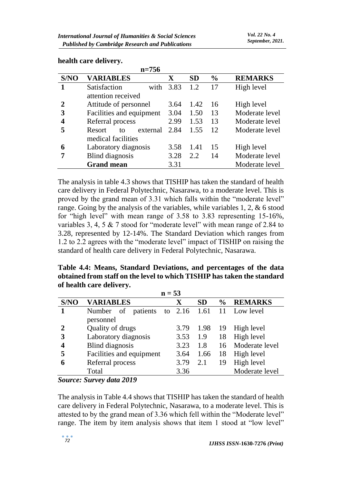|      | $n = 756$                |             |           |               |                |
|------|--------------------------|-------------|-----------|---------------|----------------|
| S/NO | <b>VARIABLES</b>         | $\mathbf X$ | <b>SD</b> | $\frac{0}{0}$ | <b>REMARKS</b> |
|      | Satisfaction<br>with     | 3.83        | 1.2       | 17            | High level     |
|      | attention received       |             |           |               |                |
|      | Attitude of personnel    | 3.64        | 1.42      | 16            | High level     |
| 3    | Facilities and equipment | 3.04        | 1.50      | 13            | Moderate level |
|      | Referral process         | 2.99        | 1.53      | 13            | Moderate level |
|      | Resort<br>external<br>tΩ | 2.84        | 1.55      | 12            | Moderate level |
|      | medical facilities       |             |           |               |                |
| 6    | Laboratory diagnosis     | 3.58        | 1.41      | 15            | High level     |
|      | <b>Blind</b> diagnosis   | 3.28        | 2.2       | 14            | Moderate level |
|      | <b>Grand mean</b>        | 3.31        |           |               | Moderate level |

#### **health care delivery.**

The analysis in table 4.3 shows that TISHIP has taken the standard of health care delivery in Federal Polytechnic, Nasarawa, to a moderate level. This is proved by the grand mean of 3.31 which falls within the "moderate level" range. Going by the analysis of the variables, while variables 1, 2, & 6 stood for "high level" with mean range of 3.58 to 3.83 representing 15-16%, variables 3, 4, 5 & 7 stood for "moderate level" with mean range of 2.84 to 3.28, represented by 12-14%. The Standard Deviation which ranges from 1.2 to 2.2 agrees with the "moderate level" impact of TISHIP on raising the standard of health care delivery in Federal Polytechnic, Nasarawa.

**Table 4.4: Means, Standard Deviations, and percentages of the data obtained from staff on the level to which TISHIP has taken the standard of health care delivery.**

| $n = 53$              |                                           |             |           |               |                           |  |
|-----------------------|-------------------------------------------|-------------|-----------|---------------|---------------------------|--|
| S/NO                  | <b>VARIABLES</b>                          | $\mathbf X$ | <b>SD</b> | $\frac{6}{9}$ | <b>REMARKS</b>            |  |
|                       | Number of patients                        |             |           |               | to 2.16 1.61 11 Low level |  |
|                       | personnel                                 |             |           |               |                           |  |
|                       | Quality of drugs                          | 3.79        | 1.98      | -19           | High level                |  |
| 3                     | Laboratory diagnosis                      | 3.53        | 1.9       | 18            | High level                |  |
|                       | <b>Blind</b> diagnosis                    | 3.23        | 1.8       | 16            | Moderate level            |  |
| 5                     | Facilities and equipment                  | 3.64        | 1.66      | 18            | High level                |  |
|                       | Referral process                          | 3.79        | 2.1       | 19            | High level                |  |
|                       | Total                                     | 3.36        |           |               | Moderate level            |  |
| $\mathbf{C}$ assumed. | $C_{\text{rel}}$ on $J_{\text{rel}}$ 1010 |             |           |               |                           |  |

*Source: Survey data 2019*

The analysis in Table 4.4 shows that TISHIP has taken the standard of health care delivery in Federal Polytechnic, Nasarawa, to a moderate level. This is attested to by the grand mean of 3.36 which fell within the "Moderate level" range. The item by item analysis shows that item 1 stood at "low level"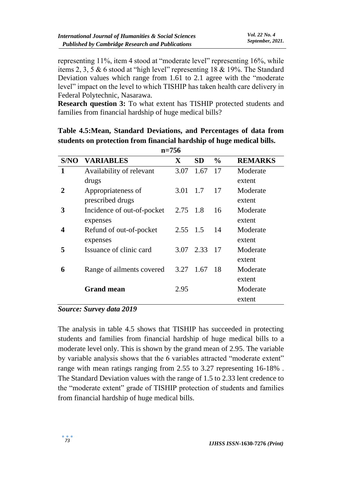representing 11%, item 4 stood at "moderate level" representing 16%, while items 2, 3, 5 & 6 stood at "high level" representing 18 & 19%. The Standard Deviation values which range from 1.61 to 2.1 agree with the "moderate level" impact on the level to which TISHIP has taken health care delivery in Federal Polytechnic, Nasarawa.

**Research question 3:** To what extent has TISHIP protected students and families from financial hardship of huge medical bills?

|                       | $n = 756$                  |              |           |               |                |  |  |  |
|-----------------------|----------------------------|--------------|-----------|---------------|----------------|--|--|--|
| S/NO                  | <b>VARIABLES</b>           | $\mathbf{X}$ | <b>SD</b> | $\frac{6}{6}$ | <b>REMARKS</b> |  |  |  |
| 1                     | Availability of relevant   | 3.07         | 1.67      | 17            | Moderate       |  |  |  |
|                       | drugs                      |              |           |               | extent         |  |  |  |
| $\mathcal{D}_{\cdot}$ | Appropriateness of         | 3.01         | 1.7       | 17            | Moderate       |  |  |  |
|                       | prescribed drugs           |              |           |               | extent         |  |  |  |
| 3                     | Incidence of out-of-pocket | 2.75 1.8     |           | 16            | Moderate       |  |  |  |
|                       | expenses                   |              |           |               | extent         |  |  |  |
| 4                     | Refund of out-of-pocket    | 2.55 1.5     |           | 14            | Moderate       |  |  |  |
|                       | expenses                   |              |           |               | extent         |  |  |  |
| 5                     | Issuance of clinic card    | 3.07         | 2.33      | 17            | Moderate       |  |  |  |
|                       |                            |              |           |               | extent         |  |  |  |
| 6                     | Range of ailments covered  | 3.27         | 1.67      | 18            | Moderate       |  |  |  |
|                       |                            |              |           |               | extent         |  |  |  |
|                       | <b>Grand mean</b>          | 2.95         |           |               | Moderate       |  |  |  |
|                       |                            |              |           |               | extent         |  |  |  |

**Table 4.5:Mean, Standard Deviations, and Percentages of data from students on protection from financial hardship of huge medical bills.** 

#### *Source: Survey data 2019*

The analysis in table 4.5 shows that TISHIP has succeeded in protecting students and families from financial hardship of huge medical bills to a moderate level only. This is shown by the grand mean of 2.95. The variable by variable analysis shows that the 6 variables attracted "moderate extent" range with mean ratings ranging from 2.55 to 3.27 representing 16-18% . The Standard Deviation values with the range of 1.5 to 2.33 lent credence to the "moderate extent" grade of TISHIP protection of students and families from financial hardship of huge medical bills.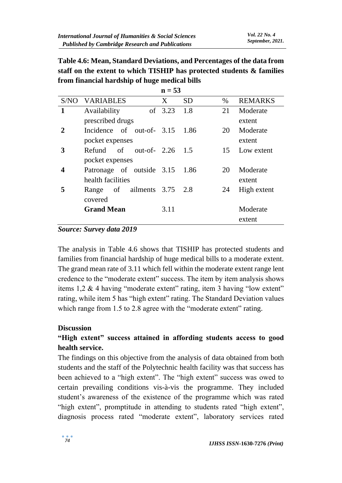**Table 4.6: Mean, Standard Deviations, and Percentages of the data from staff on the extent to which TISHIP has protected students & families from financial hardship of huge medical bills**

|      |                                 | $n = 53$ |           |      |                |
|------|---------------------------------|----------|-----------|------|----------------|
| S/NO | <b>VARIABLES</b>                | X        | <b>SD</b> | $\%$ | <b>REMARKS</b> |
| 1    | Availability                    | of 3.23  | 1.8       | 21   | Moderate       |
|      | prescribed drugs                |          |           |      | extent         |
| 2    | Incidence of out-of- 3.15       |          | 1.86      | 20   | Moderate       |
|      | pocket expenses                 |          |           |      | extent         |
| 3    | Refund of out-of- 2.26          |          | -1.5      | 15   | Low extent     |
|      | pocket expenses                 |          |           |      |                |
| 4    | Patronage of outside 3.15       |          | - 1.86    | 20   | Moderate       |
|      | health facilities               |          |           |      | extent         |
| 5    | of ailments $3.75$ 2.8<br>Range |          |           | 24   | High extent    |
|      | covered                         |          |           |      |                |
|      | <b>Grand Mean</b>               | 3.11     |           |      | Moderate       |
|      |                                 |          |           |      | extent         |

#### *Source: Survey data 2019*

The analysis in Table 4.6 shows that TISHIP has protected students and families from financial hardship of huge medical bills to a moderate extent. The grand mean rate of 3.11 which fell within the moderate extent range lent credence to the "moderate extent" success. The item by item analysis shows items 1,2 & 4 having "moderate extent" rating, item 3 having "low extent" rating, while item 5 has "high extent" rating. The Standard Deviation values which range from 1.5 to 2.8 agree with the "moderate extent" rating.

#### **Discussion**

### **"High extent" success attained in affording students access to good health service.**

The findings on this objective from the analysis of data obtained from both students and the staff of the Polytechnic health facility was that success has been achieved to a "high extent". The "high extent" success was owed to certain prevailing conditions vis-à-vis the programme. They included student's awareness of the existence of the programme which was rated "high extent", promptitude in attending to students rated "high extent", diagnosis process rated "moderate extent", laboratory services rated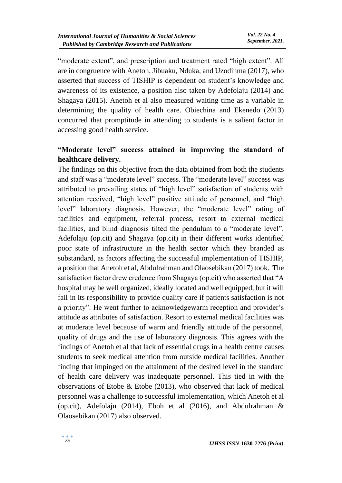"moderate extent", and prescription and treatment rated "high extent". All are in congruence with Anetoh, Jibuaku, Nduka, and Uzodinma (2017), who asserted that success of TISHIP is dependent on student's knowledge and awareness of its existence, a position also taken by Adefolaju (2014) and Shagaya (2015). Anetoh et al also measured waiting time as a variable in determining the quality of health care. Obiechina and Ekenedo (2013) concurred that promptitude in attending to students is a salient factor in accessing good health service.

# **"Moderate level" success attained in improving the standard of healthcare delivery.**

The findings on this objective from the data obtained from both the students and staff was a "moderate level" success. The "moderate level" success was attributed to prevailing states of "high level" satisfaction of students with attention received, "high level" positive attitude of personnel, and "high level" laboratory diagnosis. However, the "moderate level" rating of facilities and equipment, referral process, resort to external medical facilities, and blind diagnosis tilted the pendulum to a "moderate level". Adefolaju (op.cit) and Shagaya (op.cit) in their different works identified poor state of infrastructure in the health sector which they branded as substandard, as factors affecting the successful implementation of TISHIP, a position that Anetoh et al, Abdulrahman and Olaosebikan (2017) took. The satisfaction factor drew credence from Shagaya (op.cit) who asserted that "A hospital may be well organized, ideally located and well equipped, but it will fail in its responsibility to provide quality care if patients satisfaction is not a priority". He went further to acknowledgewarm reception and provider's attitude as attributes of satisfaction. Resort to external medical facilities was at moderate level because of warm and friendly attitude of the personnel, quality of drugs and the use of laboratory diagnosis. This agrees with the findings of Anetoh et al that lack of essential drugs in a health centre causes students to seek medical attention from outside medical facilities. Another finding that impinged on the attainment of the desired level in the standard of health care delivery was inadequate personnel. This tied in with the observations of Etobe & Etobe (2013), who observed that lack of medical personnel was a challenge to successful implementation, which Anetoh et al (op.cit), Adefolaju (2014), Eboh et al (2016), and Abdulrahman & Olaosebikan (2017) also observed.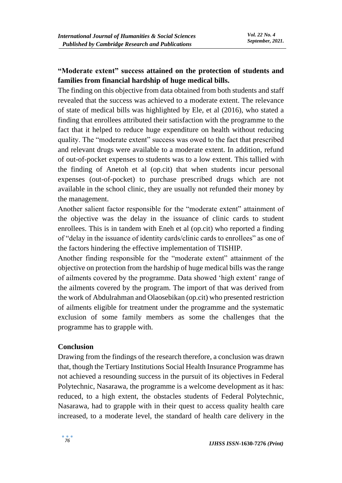# **"Moderate extent" success attained on the protection of students and families from financial hardship of huge medical bills.**

The finding on this objective from data obtained from both students and staff revealed that the success was achieved to a moderate extent. The relevance of state of medical bills was highlighted by Ele, et al (2016), who stated a finding that enrollees attributed their satisfaction with the programme to the fact that it helped to reduce huge expenditure on health without reducing quality. The "moderate extent" success was owed to the fact that prescribed and relevant drugs were available to a moderate extent. In addition, refund of out-of-pocket expenses to students was to a low extent. This tallied with the finding of Anetoh et al (op.cit) that when students incur personal expenses (out-of-pocket) to purchase prescribed drugs which are not available in the school clinic, they are usually not refunded their money by the management.

Another salient factor responsible for the "moderate extent" attainment of the objective was the delay in the issuance of clinic cards to student enrollees. This is in tandem with Eneh et al (op.cit) who reported a finding of "delay in the issuance of identity cards/clinic cards to enrollees" as one of the factors hindering the effective implementation of TISHIP.

Another finding responsible for the "moderate extent" attainment of the objective on protection from the hardship of huge medical bills was the range of ailments covered by the programme. Data showed 'high extent' range of the ailments covered by the program. The import of that was derived from the work of Abdulrahman and Olaosebikan (op.cit) who presented restriction of ailments eligible for treatment under the programme and the systematic exclusion of some family members as some the challenges that the programme has to grapple with.

#### **Conclusion**

Drawing from the findings of the research therefore, a conclusion was drawn that, though the Tertiary Institutions Social Health Insurance Programme has not achieved a resounding success in the pursuit of its objectives in Federal Polytechnic, Nasarawa, the programme is a welcome development as it has: reduced, to a high extent, the obstacles students of Federal Polytechnic, Nasarawa, had to grapple with in their quest to access quality health care increased, to a moderate level, the standard of health care delivery in the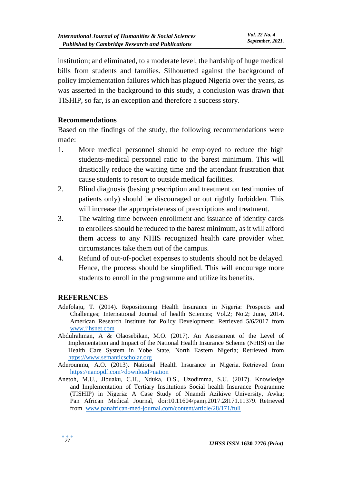institution; and eliminated, to a moderate level, the hardship of huge medical bills from students and families. Silhouetted against the background of policy implementation failures which has plagued Nigeria over the years, as was asserted in the background to this study, a conclusion was drawn that TISHIP, so far, is an exception and therefore a success story.

#### **Recommendations**

Based on the findings of the study, the following recommendations were made:

- 1. More medical personnel should be employed to reduce the high students-medical personnel ratio to the barest minimum. This will drastically reduce the waiting time and the attendant frustration that cause students to resort to outside medical facilities.
- 2. Blind diagnosis (basing prescription and treatment on testimonies of patients only) should be discouraged or out rightly forbidden. This will increase the appropriateness of prescriptions and treatment.
- 3. The waiting time between enrollment and issuance of identity cards to enrollees should be reduced to the barest minimum, as it will afford them access to any NHIS recognized health care provider when circumstances take them out of the campus.
- 4. Refund of out-of-pocket expenses to students should not be delayed. Hence, the process should be simplified. This will encourage more students to enroll in the programme and utilize its benefits.

#### **REFERENCES**

- Adefolaju, T. (2014). Repositioning Health Insurance in Nigeria: Prospects and Challenges; International Journal of health Sciences; Vol.2; No.2; June, 2014. American Research Institute for Policy Development; Retrieved 5/6/2017 from [iwww.ijhsnet.com](http://www.ijhsnet.com/)
- Abdulrahman, A & Olaosebikan, M.O. (2017). An Assessment of the Level of Implementation and Impact of the National Health Insurance Scheme (NHIS) on the Health Care System in Yobe State, North Eastern Nigeria; Retrieved from [https://www.semanticscholar.org](https://www.semanticscholar.org/)
- Aderounmu, A.O. (2013). National Health Insurance in Nigeria. Retrieved from https://nanopdf.com>download>nation
- Anetoh, M.U., Jibuaku, C.H., Nduka, O.S., Uzodimma, S.U. (2017). Knowledge and Implementation of Tertiary Institutions Social health Insurance Programme (TISHIP) in Nigeria: A Case Study of Nnamdi Azikiwe University, Awka; Pan African Medical Journal, doi:10.11604/pami.2017.28171.11379. Retrieved from www.panafrican-med-journal.com/content/article/28/171/full